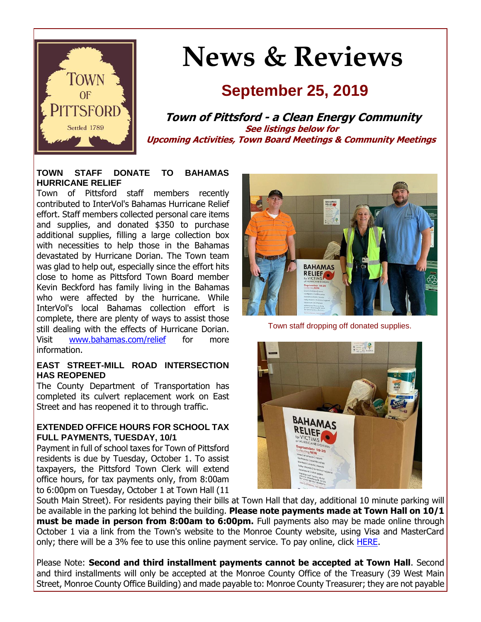

# **News & Reviews**

## **September 25, 2019**

**Town of Pittsford - a Clean Energy Community See listings below for Upcoming Activities, Town Board Meetings & Community Meetings**

#### **TOWN STAFF DONATE TO BAHAMAS HURRICANE RELIEF**

Town of Pittsford staff members recently contributed to InterVol's Bahamas Hurricane Relief effort. Staff members collected personal care items and supplies, and donated \$350 to purchase additional supplies, filling a large collection box with necessities to help those in the Bahamas devastated by Hurricane Dorian. The Town team was glad to help out, especially since the effort hits close to home as Pittsford Town Board member Kevin Beckford has family living in the Bahamas who were affected by the hurricane. While InterVol's local Bahamas collection effort is complete, there are plenty of ways to assist those still dealing with the effects of Hurricane Dorian. Visit [www.bahamas.com/relief](http://r20.rs6.net/tn.jsp?f=001w9wSFmfeIywj9fu5NTgAyZ2dA-PNvRs7qSbCtGFJ74LEgWdjlJVA2xt4Mh5ZO5bwylgomsGlfB-c4eodm2ClHC6iGoXP5JResr6JTQfh3RKcx2UmXg6qPW26hcEjqty2bk--lSWGOTPYqpeqdYIGiLVPbJHPYExjY2lE4OAiucg9rZH2OmH-tgse4TI5M3axmunNprhai1u5Em3TW7gtmyre25oUvE0N7aye2Jq6RmyNKzPNAet9iIjCelKWUrDp4CkHTZ_uJu9lunsi2fvDakUVvwItBpaYe1xiCmQnjzM=&c=JVkdV4TSb-2qmbSe8kfkc9XnaeSGHhmVSpoGkxCAX5Vi66JNjKQnEQ==&ch=_VzUz2eTW0OemvCAUu9tOK8-R-IfqZUDN5xFZ2lqOClr0aPNDxfT5w==) for more information.

#### **EAST STREET-MILL ROAD INTERSECTION HAS REOPENED**

The County Department of Transportation has completed its culvert replacement work on East Street and has reopened it to through traffic.

#### **EXTENDED OFFICE HOURS FOR SCHOOL TAX FULL PAYMENTS, TUESDAY, 10/1**

Payment in full of school taxes for Town of Pittsford residents is due by Tuesday, October 1. To assist taxpayers, the Pittsford Town Clerk will extend office hours, for tax payments only, from 8:00am to 6:00pm on Tuesday, October 1 at Town Hall (11



Town staff dropping off donated supplies.



South Main Street). For residents paying their bills at Town Hall that day, additional 10 minute parking will be available in the parking lot behind the building. **Please note payments made at Town Hall on 10/1 must be made in person from 8:00am to 6:00pm.** Full payments also may be made online through October 1 via a link from the Town's website to the Monroe County website, using Visa and MasterCard only; there will be a 3% fee to use this online payment service. To pay online, click [HERE.](http://r20.rs6.net/tn.jsp?f=001w9wSFmfeIywj9fu5NTgAyZ2dA-PNvRs7qSbCtGFJ74LEgWdjlJVA23ftNiNXYVU42JOCMllAS5-LcAY0DrNzsdbqd5dGtZ-x9MOPqVOzZ0H_UO3jVQjuZGd8p55PPGsV6HJLiiB9ieiKGoKY-a24XsInlXPexI8nQjX8tRQsAgmh-yFk5EgfDLsR9fkoteuHF9FUcIVji4QOgDKIMVWYLl0va3DU80reTNfLjvUaklRvQFljXEJkWcqqenAO8PGyhrUAnoR9T2f72h02bmCTObnPJbwS59D6N5MgbPCC1CJHmwRgCGux8h-95wb170yF&c=JVkdV4TSb-2qmbSe8kfkc9XnaeSGHhmVSpoGkxCAX5Vi66JNjKQnEQ==&ch=_VzUz2eTW0OemvCAUu9tOK8-R-IfqZUDN5xFZ2lqOClr0aPNDxfT5w==)

Please Note: **Second and third installment payments cannot be accepted at Town Hall**. Second and third installments will only be accepted at the Monroe County Office of the Treasury (39 West Main Street, Monroe County Office Building) and made payable to: Monroe County Treasurer; they are not payable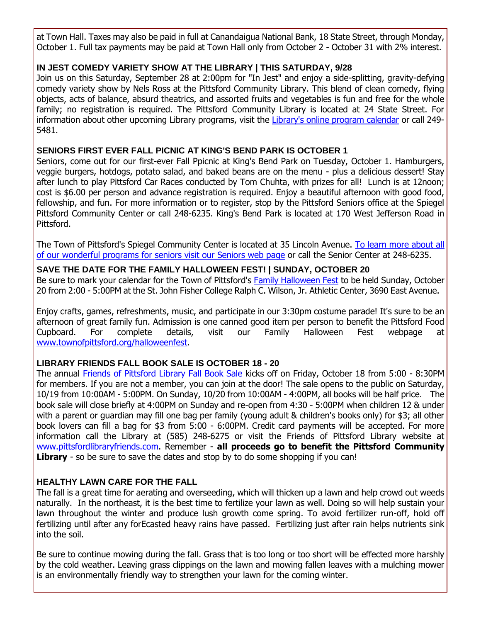at Town Hall. Taxes may also be paid in full at Canandaigua National Bank, 18 State Street, through Monday, October 1. Full tax payments may be paid at Town Hall only from October 2 - October 31 with 2% interest.

#### **IN JEST COMEDY VARIETY SHOW AT THE LIBRARY | THIS SATURDAY, 9/28**

Join us on this Saturday, September 28 at 2:00pm for "In Jest" and enjoy a side-splitting, gravity-defying comedy variety show by Nels Ross at the Pittsford Community Library. This blend of clean comedy, flying objects, acts of balance, absurd theatrics, and assorted fruits and vegetables is fun and free for the whole family; no registration is required. The Pittsford Community Library is located at 24 State Street. For information about other upcoming Library programs, visit the [Library's online program calendar](http://r20.rs6.net/tn.jsp?f=001w9wSFmfeIywj9fu5NTgAyZ2dA-PNvRs7qSbCtGFJ74LEgWdjlJVA2xwSLvJNRKi4UFCQmBjPWd2g_qrPMs6T1CKHp92aZyz7OaDFQHgSSCIv-ZQUtJWWkAEe-ZIazh0qtdVIx4epys88Qzo6z0ded8x1CDjmXV0qsZ13wDBS5vVc5dhzwg17gvk2DqQUD6LgQ1CZrsEbaQv-b69wrjRygWlz3MC0Bp8SrNrz_8A6VggFMGlo2FfoVMiAEy2-6DgoQW89bTsyk7oZkgVnrK0XzP0CuKAoZXl2EX5Wsy_fxrUOb9OwfMVQTIBLKzLR0q6KmYdoX2HhAriMtoqp0SfXsqPAkmE52SsiDFrPFjtSsVUrxfHEZMcrO3ehxhBwYEWwkt800JWKSu_xcPNRh6e28hFpvg2DS4RP&c=JVkdV4TSb-2qmbSe8kfkc9XnaeSGHhmVSpoGkxCAX5Vi66JNjKQnEQ==&ch=_VzUz2eTW0OemvCAUu9tOK8-R-IfqZUDN5xFZ2lqOClr0aPNDxfT5w==) or call 249- 5481.

#### **SENIORS FIRST EVER FALL PICNIC AT KING'S BEND PARK IS OCTOBER 1**

Seniors, come out for our first-ever Fall Ppicnic at King's Bend Park on Tuesday, October 1. Hamburgers, veggie burgers, hotdogs, potato salad, and baked beans are on the menu - plus a delicious dessert! Stay after lunch to play Pittsford Car Races conducted by Tom Chuhta, with prizes for all! Lunch is at 12noon; cost is \$6.00 per person and advance registration is required. Enjoy a beautiful afternoon with good food, fellowship, and fun. For more information or to register, stop by the Pittsford Seniors office at the Spiegel Pittsford Community Center or call 248-6235. King's Bend Park is located at 170 West Jefferson Road in Pittsford.

The Town of Pittsford's Spiegel Community Center is located at 35 Lincoln Avenue. [To learn more about all](http://r20.rs6.net/tn.jsp?f=001w9wSFmfeIywj9fu5NTgAyZ2dA-PNvRs7qSbCtGFJ74LEgWdjlJVA2-RsBGjEl9LkggfT-yKkxa5G8CQnD3ntr-D3sIH2a0-V2WEkML3aRD3rqdmWiEctlK6O-Np21JWY0D6TtLTX7YUIb1Rxd1-6sjktYNnuD0PorwuDSgAFNBOq1aOQkeHAyYC4xOEvv_nJu7cIQOzccrN1fFHK22BJpPD6idOvv_uo50KqXmicIheFXDzBvFJHOJv531HyMr8l1o5hwR3OIDHvpxesdNeWC1EBZeEbU0-Ps6hevXKRaVpNeVKlLGT15x6c3nA42ebz&c=JVkdV4TSb-2qmbSe8kfkc9XnaeSGHhmVSpoGkxCAX5Vi66JNjKQnEQ==&ch=_VzUz2eTW0OemvCAUu9tOK8-R-IfqZUDN5xFZ2lqOClr0aPNDxfT5w==)  [of our wonderful programs for seniors visit our Seniors web page](http://r20.rs6.net/tn.jsp?f=001w9wSFmfeIywj9fu5NTgAyZ2dA-PNvRs7qSbCtGFJ74LEgWdjlJVA2-RsBGjEl9LkggfT-yKkxa5G8CQnD3ntr-D3sIH2a0-V2WEkML3aRD3rqdmWiEctlK6O-Np21JWY0D6TtLTX7YUIb1Rxd1-6sjktYNnuD0PorwuDSgAFNBOq1aOQkeHAyYC4xOEvv_nJu7cIQOzccrN1fFHK22BJpPD6idOvv_uo50KqXmicIheFXDzBvFJHOJv531HyMr8l1o5hwR3OIDHvpxesdNeWC1EBZeEbU0-Ps6hevXKRaVpNeVKlLGT15x6c3nA42ebz&c=JVkdV4TSb-2qmbSe8kfkc9XnaeSGHhmVSpoGkxCAX5Vi66JNjKQnEQ==&ch=_VzUz2eTW0OemvCAUu9tOK8-R-IfqZUDN5xFZ2lqOClr0aPNDxfT5w==) or call the Senior Center at 248-6235.

#### **SAVE THE DATE FOR THE FAMILY HALLOWEEN FEST! | SUNDAY, OCTOBER 20**

Be sure to mark your calendar for the Town of Pittsford's **Family Halloween Fest** to be held Sunday, October 20 from 2:00 - 5:00PM at the St. John Fisher College Ralph C. Wilson, Jr. Athletic Center, 3690 East Avenue.

Enjoy crafts, games, refreshments, music, and participate in our 3:30pm costume parade! It's sure to be an afternoon of great family fun. Admission is one canned good item per person to benefit the Pittsford Food Cupboard. For complete details, visit our Family Halloween Fest webpage at [www.townofpittsford.org/halloweenfest.](http://r20.rs6.net/tn.jsp?f=001w9wSFmfeIywj9fu5NTgAyZ2dA-PNvRs7qSbCtGFJ74LEgWdjlJVA2-pVPXSxDL_9hi_QgOCZGCyvV9ggQf4dxjLHBDl7dEhd42TE2ZFmcJUeOmQvpEtrQfJJQ5CXKWr6_VzUxm2jagFY_3iedEyiuU8HgeSdbbmF8R-KiXnre0rjIQD9hBa74K7BoP5iMxE5PYe5wESaIblj0FXgo-7VEWmdnaV9Xs3f5H7UOM6Qsoc9jhBOO8O5DzjS5bwVZgHv5kbM1sp6raLzzI6gjegrsfZWcHmL4Poedsmyi98B-lFOYfnqOj6OMTsTXzgBTXoB&c=JVkdV4TSb-2qmbSe8kfkc9XnaeSGHhmVSpoGkxCAX5Vi66JNjKQnEQ==&ch=_VzUz2eTW0OemvCAUu9tOK8-R-IfqZUDN5xFZ2lqOClr0aPNDxfT5w==)

#### **LIBRARY FRIENDS FALL BOOK SALE IS OCTOBER 18 - 20**

The annual [Friends of Pittsford Library Fall Book Sale](http://r20.rs6.net/tn.jsp?f=001w9wSFmfeIywj9fu5NTgAyZ2dA-PNvRs7qSbCtGFJ74LEgWdjlJVA21CFhWCtfUFLjpeSvyleZps9AH_6YtJYz_sD8FvO0kcxX-cvRhPMbPSvUnpv7IwBCxAZGen79oZKz6LE4D2KuTsQ0_rtY4B2_SkothzGkWCBqSPCTyAUmuxh-Ee-n_FJuAEfQ74H_9tKrJt4pDTStIn5EHo84jPGROqJm_9bCc09sV5of8tGz7srWK4HMlgX9BEUCwvKKzynLLesmHcRSmNqBchfT77AKYss1xdLibQiv8lQ4XehtVDnwzNM93edzA==&c=JVkdV4TSb-2qmbSe8kfkc9XnaeSGHhmVSpoGkxCAX5Vi66JNjKQnEQ==&ch=_VzUz2eTW0OemvCAUu9tOK8-R-IfqZUDN5xFZ2lqOClr0aPNDxfT5w==) kicks off on Friday, October 18 from 5:00 - 8:30PM for members. If you are not a member, you can join at the door! The sale opens to the public on Saturday, 10/19 from 10:00AM - 5:00PM. On Sunday, 10/20 from 10:00AM - 4:00PM, all books will be half price. The book sale will close briefly at 4:00PM on Sunday and re-open from 4:30 - 5:00PM when children 12 & under with a parent or guardian may fill one bag per family (young adult & children's books only) for \$3; all other book lovers can fill a bag for \$3 from 5:00 - 6:00PM. Credit card payments will be accepted. For more information call the Library at (585) 248-6275 or visit the Friends of Pittsford Library website at [www.pittsfordlibraryfriends.com.](http://r20.rs6.net/tn.jsp?f=001w9wSFmfeIywj9fu5NTgAyZ2dA-PNvRs7qSbCtGFJ74LEgWdjlJVA28IpEt5iMxJ3fR-h1wratouLUyEejk7N55rO6eEasHmPr7NHWgcngkA9Qfkv-095EF4TyHC6N_xv8FuMGHl9WSUVkE7Av0jZSJEthOc7YjBFYxNkyazspFe7pWqi_qwBN0HB7hsy_EkABOvST7iDRHJgU3sMrv61iqG7IXtKKXEQmqoh3KQ03SAnnCmklRp12CI1xSJIPIeWvlKpyONUv0vHtAygDGCFbHBfROU6gnBD1UQPcONtBFiyPiYnTEubUg==&c=JVkdV4TSb-2qmbSe8kfkc9XnaeSGHhmVSpoGkxCAX5Vi66JNjKQnEQ==&ch=_VzUz2eTW0OemvCAUu9tOK8-R-IfqZUDN5xFZ2lqOClr0aPNDxfT5w==) Remember - **all proceeds go to benefit the Pittsford Community**  Library - so be sure to save the dates and stop by to do some shopping if you can!

#### **HEALTHY LAWN CARE FOR THE FALL**

The fall is a great time for aerating and overseeding, which will thicken up a lawn and help crowd out weeds naturally. In the northeast, it is the best time to fertilize your lawn as well. Doing so will help sustain your lawn throughout the winter and produce lush growth come spring. To avoid fertilizer run-off, hold off fertilizing until after any forEcasted heavy rains have passed. Fertilizing just after rain helps nutrients sink into the soil.

Be sure to continue mowing during the fall. Grass that is too long or too short will be effected more harshly by the cold weather. Leaving grass clippings on the lawn and mowing fallen leaves with a mulching mower is an environmentally friendly way to strengthen your lawn for the coming winter.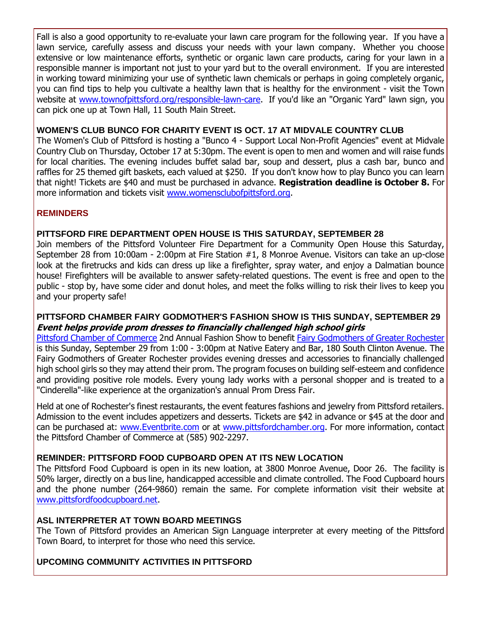Fall is also a good opportunity to re-evaluate your lawn care program for the following year. If you have a lawn service, carefully assess and discuss your needs with your lawn company. Whether you choose extensive or low maintenance efforts, synthetic or organic lawn care products, caring for your lawn in a responsible manner is important not just to your yard but to the overall environment. If you are interested in working toward minimizing your use of synthetic lawn chemicals or perhaps in going completely organic, you can find tips to help you cultivate a healthy lawn that is healthy for the environment - visit the Town website at [www.townofpittsford.org/responsible-lawn-care.](http://r20.rs6.net/tn.jsp?f=001w9wSFmfeIywj9fu5NTgAyZ2dA-PNvRs7qSbCtGFJ74LEgWdjlJVA26uv99Y2URHmLsnFOtDz6SYX_7GPF9gD8qCBa0wTO8BTNZiZe_2QhRdgrh0w64vG7x_mzwQGggUzJIzUkP67Kv3pKbcE3efDKPfLky4aPO-SH0QAnci7E8WiojNV4piSU_oP4KD-eHvtgPs2l1MNhHxwmCdrY-9lUrs4ApBuLOhgKgL6EkOv6puzox32ah28yrNq_c2B5eCzGFpi6KVivQohdBpoDBQseaY2wFfa0lnkmgf-8Xn-bqh5u07ik5DOo4VWhhRNdqzHCyQQDPcNuks=&c=JVkdV4TSb-2qmbSe8kfkc9XnaeSGHhmVSpoGkxCAX5Vi66JNjKQnEQ==&ch=_VzUz2eTW0OemvCAUu9tOK8-R-IfqZUDN5xFZ2lqOClr0aPNDxfT5w==) If you'd like an "Organic Yard" lawn sign, you can pick one up at Town Hall, 11 South Main Street.

#### **WOMEN'S CLUB BUNCO FOR CHARITY EVENT IS OCT. 17 AT MIDVALE COUNTRY CLUB**

The Women's Club of Pittsford is hosting a "Bunco 4 - Support Local Non-Profit Agencies" event at Midvale Country Club on Thursday, October 17 at 5:30pm. The event is open to men and women and will raise funds for local charities. The evening includes buffet salad bar, soup and dessert, plus a cash bar, bunco and raffles for 25 themed gift baskets, each valued at \$250. If you don't know how to play Bunco you can learn that night! Tickets are \$40 and must be purchased in advance. **Registration deadline is October 8.** For more information and tickets visit [www.womensclubofpittsford.org.](http://r20.rs6.net/tn.jsp?f=001w9wSFmfeIywj9fu5NTgAyZ2dA-PNvRs7qSbCtGFJ74LEgWdjlJVA2w3ZjpMEjyvre6cgiPIVbz4nktC6XmwEREyVkPbWmCLXX4WDcT8rqqh7s2xZH2an_1jqe1VOYeYLTW9cZ_KP0gY5v6-ggnIhxpMMkzwCHZ0n-yq6ZRWlOcibFqCTTRKep9mv1FFVhl0BomDQReMTqNVK9g_1cX9g9494q4PpaL3uV9gDmpcPmiXgW-yri_qCnHR6IDyCDd2u31CdW8dnljt-VfSSxJZ_kRPSxUOedPl2-9Rcs3iz3FHAl9B-5QbD1g==&c=JVkdV4TSb-2qmbSe8kfkc9XnaeSGHhmVSpoGkxCAX5Vi66JNjKQnEQ==&ch=_VzUz2eTW0OemvCAUu9tOK8-R-IfqZUDN5xFZ2lqOClr0aPNDxfT5w==)

#### **REMINDERS**

#### **PITTSFORD FIRE DEPARTMENT OPEN HOUSE IS THIS SATURDAY, SEPTEMBER 28**

Join members of the Pittsford Volunteer Fire Department for a Community Open House this Saturday, September 28 from 10:00am - 2:00pm at Fire Station #1, 8 Monroe Avenue. Visitors can take an up-close look at the firetrucks and kids can dress up like a firefighter, spray water, and enjoy a Dalmatian bounce house! Firefighters will be available to answer safety-related questions. The event is free and open to the public - stop by, have some cider and donut holes, and meet the folks willing to risk their lives to keep you and your property safe!

#### **PITTSFORD CHAMBER FAIRY GODMOTHER'S FASHION SHOW IS THIS SUNDAY, SEPTEMBER 29 Event helps provide prom dresses to financially challenged high school girls**

[Pittsford Chamber of Commerce](http://r20.rs6.net/tn.jsp?f=001w9wSFmfeIywj9fu5NTgAyZ2dA-PNvRs7qSbCtGFJ74LEgWdjlJVA248rp3XTltm6Q03_iaZXGN1VlZLIXjTc7eHNjN3RD3LxtP0ZxEyKQRYImUeHIzDtnzB61MHFosBQb5VzpJInI9_WQYogzoVXbD7H-R90gMrQV_Swhk-iRBfJ7Di-Fr2trcNdXWX0kWHsQXyw5cVenBN_VxOEdUIgzp7MjLhPed6mSvnJeFlxlY8t_gwIMCx4-IE4VjOFpTeV2U31z1b18NZVTTiKZqafN4piPXsVZb5ZLkmJxxKCx3w=&c=JVkdV4TSb-2qmbSe8kfkc9XnaeSGHhmVSpoGkxCAX5Vi66JNjKQnEQ==&ch=_VzUz2eTW0OemvCAUu9tOK8-R-IfqZUDN5xFZ2lqOClr0aPNDxfT5w==) 2nd Annual Fashion Show to benefit [Fairy Godmothers of Greater Rochester](http://r20.rs6.net/tn.jsp?f=001w9wSFmfeIywj9fu5NTgAyZ2dA-PNvRs7qSbCtGFJ74LEgWdjlJVA248rp3XTltm6h1QcqEqgvpQ_k-3gJRkpW7hl7-ohMc8_ZzkTKP3XucUf1T41AbGEYyHJyU1OLK8fQpzUMrnpi3wlEBEQQvw9Fy-w0IpH671agyk0shqu9zDFBxt19KrcQI4kNmpyrFeYVvaezRrdjRQ2COSm9UWh8i5PvRsavRCNj4MPl5udMMDI5vGAm7pL0QeEChe5o2EMtdWoS7BcqoDLw1r3YK0x2SA8K8TBCTgqZSAJre9MEyUFKrxqsXrZDA==&c=JVkdV4TSb-2qmbSe8kfkc9XnaeSGHhmVSpoGkxCAX5Vi66JNjKQnEQ==&ch=_VzUz2eTW0OemvCAUu9tOK8-R-IfqZUDN5xFZ2lqOClr0aPNDxfT5w==) is this Sunday, September 29 from 1:00 - 3:00pm at Native Eatery and Bar, 180 South Clinton Avenue. The Fairy Godmothers of Greater Rochester provides evening dresses and accessories to financially challenged high school girls so they may attend their prom. The program focuses on building self-esteem and confidence and providing positive role models. Every young lady works with a personal shopper and is treated to a "Cinderella"-like experience at the organization's annual Prom Dress Fair.

Held at one of Rochester's finest restaurants, the event features fashions and jewelry from Pittsford retailers. Admission to the event includes appetizers and desserts. Tickets are \$42 in advance or \$45 at the door and can be purchased at: [www.Eventbrite.com](http://r20.rs6.net/tn.jsp?f=001w9wSFmfeIywj9fu5NTgAyZ2dA-PNvRs7qSbCtGFJ74LEgWdjlJVA248rp3XTltm68vWEiSO9LI0ZSOMkaKhZUbf9nqN3LhjrSVNtKNTrImDXNM_TsIY3ZEUET8DEc5kISll7NQC-VBkHZRAPg7Yzl2fnvFvbmxFuSn7wIyEyVBQn8j5w1DIk3HThTRXeGwxn_byRjGJRCetGfOqKRrF5BGpAOjvFjorFeGHFC9dMaALUCWnBcJAXSLQWkdaqalBths9mjYZqhgOCXovANTZU0XoNc7yWuDLlORO38Nj7IAi-fO49Yb58dTCAZtzM_8XWiyWmNWSzs_0uTvfvqqcuI7YqlX8dtrjhrRItvavi5wJm1S0DH7HkbWOq4cme3fp2Av-UPgSO5-rHuS7wOHVmMEcoaDWb3LNTEWa6TxcsYQ1aixsW0XZ-9GkwIuzRdwqYfB3Yuwu8rD7N83ISYyN4kA==&c=JVkdV4TSb-2qmbSe8kfkc9XnaeSGHhmVSpoGkxCAX5Vi66JNjKQnEQ==&ch=_VzUz2eTW0OemvCAUu9tOK8-R-IfqZUDN5xFZ2lqOClr0aPNDxfT5w==) or at [www.pittsfordchamber.org.](http://r20.rs6.net/tn.jsp?f=001w9wSFmfeIywj9fu5NTgAyZ2dA-PNvRs7qSbCtGFJ74LEgWdjlJVA2wN2kBt1TL-8m2pDk5gobIWFdXV2ti6Ro8KqU7wCSZk1uT8HZ9-mCziP1Mik7vFBRj97SNOcxB2BKBT-ea_1nkit34YWLjri5hOwhiFSr0nfDBysYb4jJfZTQDF3BEwlZQsq0J6sI2RwT1jkNHJ1F7MPeZdmY-W3Mx-XTXrayYafU-nBYZuTVRunLXC0wHrMXBTsSoWyKOqgmsinma2m3s4u_WV3n0OJxCFALJp1gGeeeX2yCKi2x6g=&c=JVkdV4TSb-2qmbSe8kfkc9XnaeSGHhmVSpoGkxCAX5Vi66JNjKQnEQ==&ch=_VzUz2eTW0OemvCAUu9tOK8-R-IfqZUDN5xFZ2lqOClr0aPNDxfT5w==) For more information, contact the Pittsford Chamber of Commerce at (585) 902-2297.

#### **REMINDER: PITTSFORD FOOD CUPBOARD OPEN AT ITS NEW LOCATION**

The Pittsford Food Cupboard is open in its new loation, at 3800 Monroe Avenue, Door 26. The facility is 50% larger, directly on a bus line, handicapped accessible and climate controlled. The Food Cupboard hours and the phone number (264-9860) remain the same. For complete information visit their website at [www.pittsfordfoodcupboard.net.](http://r20.rs6.net/tn.jsp?f=001w9wSFmfeIywj9fu5NTgAyZ2dA-PNvRs7qSbCtGFJ74LEgWdjlJVA21CFhWCtfUFLHYCZTjEeM55iaY_x4S3j5T_BqaLMSDWmVIi3CWme3kNsWWTygIuU1jhjgqVUP2POMIwuQlienfTcqqmPpg4wUa_BYXd6hoN3edZtKE4-TLxqymMvbV_p955r702eq8Dc30QktflqNNhk0cumGn4_lKjpL7TnUOS0YySpz91w4Rt5unnpQcVERI7cwFHA0vfZN_OGFEnH0Kvg7wUvfNZpP7Rjmv9aSRyFcmcmOC6ShOp4DSZQpvMP7g==&c=JVkdV4TSb-2qmbSe8kfkc9XnaeSGHhmVSpoGkxCAX5Vi66JNjKQnEQ==&ch=_VzUz2eTW0OemvCAUu9tOK8-R-IfqZUDN5xFZ2lqOClr0aPNDxfT5w==)

#### **ASL INTERPRETER AT TOWN BOARD MEETINGS**

The Town of Pittsford provides an American Sign Language interpreter at every meeting of the Pittsford Town Board, to interpret for those who need this service.

#### **UPCOMING COMMUNITY ACTIVITIES IN PITTSFORD**